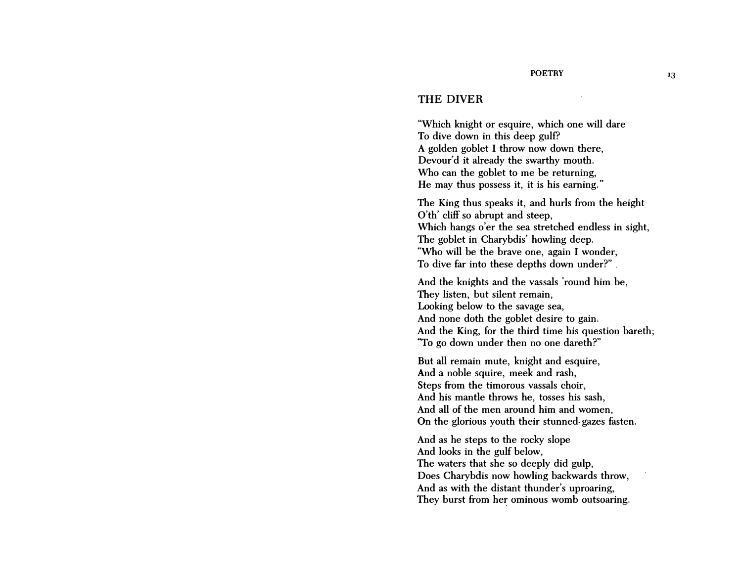## THE DIVER

"Which knight or esquire, which one will dare To dive down in this deep gulf? A golden goblet I throw now down there, Devour'd it already the swarthy mouth. Who can the goblet to me be returning, He may thus possess it, it is his earning."

The King thus speaks it, and hurls from the height O'th' cliff so abrupt and steep, Which hangs o'er the sea stretched endless in sight, The goblet in Charybdis' howling deep. "Who will be the brave one, again I wonder, To dive far into these depths down under?" .

And the knights and the vassals 'round him be, They listen, but silent remain, Looking below to the savage sea, And none doth the goblet desire to gain. And the King, for the third time his question bareth; "To go down under then no one dareth?"

But all remain mute, knight and esquire, And a noble squire, meek and rash, Steps from the timorous vassals choir, And his mantle throws he, tosses his sash, And all of the men around him and women, On the glorious youth their stunned· gazes fasten.

And as he steps to the rocky slope And looks in the gulf below, The waters that she so deeply did gulp, Does Charybdis now howling backwards throw, And as with the distant thunder's uproaring, They burst from her ominous womb outsoaring.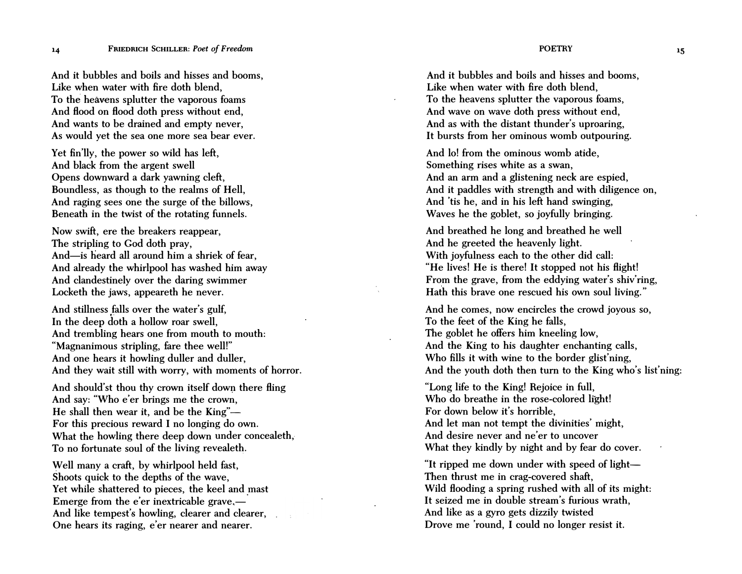And it bubbles and boils and hisses and booms, Like when water with fire doth blend, To the heavens splutter the vaporous foams And Hood on Hood doth press without end, And wants to be drained and empty never, As would yet the sea one more sea bear ever.

Yet fin'lly, the power so wild has left, And black from the argent swell Opens downward a dark yawning cleft, Boundless, as though to the realms of Hell, And raging sees one the surge of the billows, Beneath in the twist of the rotating funnels.

Now swift, ere the breakers reappear, The stripling to God doth pray, And-is heard all around him a shriek of fear, And already the whirlpool has washed him away And clandestinely over the daring swimmer Locketh the jaws, appeareth he never.

And stillness falls over the water's gulf, In the deep d�th a hollow roar swell, And trembling hears one from mouth to mouth: "Magnanimous stripling, fare thee well!" And one hears it howling duller and duller, And they wait still with worry, with moments of horror.

And should'st thou thy crown itself down there fling And say: "Who e'er brings me the crown, He shall then wear it, and be the King"-For this precious reward I no longing do own. What the howling there deep down under concealeth, To no fortunate soul of the living revealeth.

Well many a craft, by whirlpool held fast, Shoots quick to the depths of the wave, Yet while shattered to pieces, the keel and mast Emerge from the  $e^{\prime}$ er inextricable grave,— And like tempest's howling, clearer and clearer, One hears its raging, e'er nearer and nearer.

**POETRY** 

And it bubbles and boils and hisses and booms, Like when water with fire doth blend, To the heavens splutter the vaporous foams, And wave on wave doth press without end, And as with the distant thunder's uproaring, It bursts from her ominous womb outpouring.

And lo! from the ominous womb atide, Something rises white as a swan, And an arm and a glistening neck are espied, And it paddles with strength and with diligence on, And 'tis he, and in his left hand swinging, Waves he the goblet, so joyfully bringing.

And breathed he long and breathed he well And he greeted the heavenly light. With joyfulness each to the other did call: "He lives! He is there! It stopped not his Hight! From the grave, from the eddying water's shiv'ring, Hath this brave one rescued his own soul living."

And he comes, now encircles the crowd joyous so, To the feet of the King he falls, The goblet he offers him kneeling low, And the King to his daughter enchanting calls, Who fills it with wine to the border glist'ning. And the youth doth then turn to the King who's list'ning:

"Long life to the King! Rejoice in full, Who do breathe in the rose-colored light! For down below it's horrible, And let man not tempt the divinities' might, And desire never and ne'er to uncover What they kindly by night and by fear do cover.

"It ripped me down under with speed of light-Then thrust me in crag-covered shaft, Wild Hooding a spring rushed with all of its might: It seized me in double stream's furious wrath, And like as a gyro gets dizzily twisted Drove me 'round, I could no longer resist it.